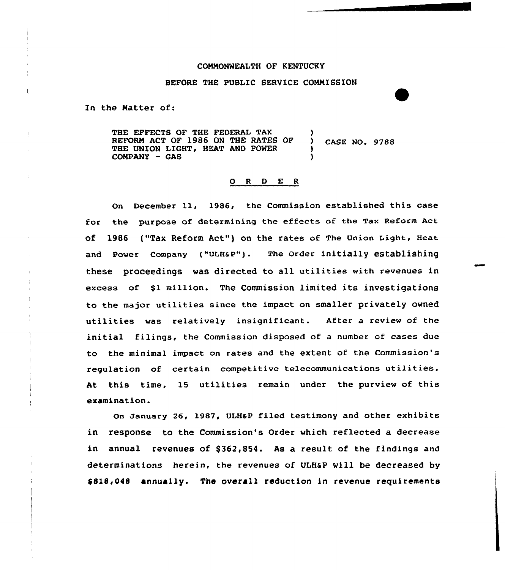## COMMONWEALTH OF KENTUCKY

#### BEFORE THE PUBLIC SERVICE COMMISSION

In the Matter of:

THE EFFECTS OF THE FEDERAL TAX (1) REFORM ACT OF 1986 ON THE RATES OF ) CASE NO. 9788 THE UNION LIGHT, HEAT AND POWER COMPANY - GAS

#### 0 <sup>R</sup> <sup>D</sup> E <sup>R</sup>

On December ll, 1986, the Commission established this case for the purpose of determining the effects of the Tax Reform Act of 1986 ("Tax Reform Act") on the rates of The Union Light, Heat and power company ("ULHap"). The order initially establishing these proceedings was directed to all utilities with revenues in excess of \$1 million. The Commission limited its investigations to the major utilities since the impact on smaller privately owned utilities was relatively insignificant. After a review of the initial filings, the Commission disposed of a number of cases due to the minimal impact on rates and the extent of the Commission's regulation of certain competitive telecommunications utilities. At this time, 15 utilities remain under the purview of this examination.

On January 26, 1987, ULHaP filed testimony and other exhibits in response to the Commission's Order which reflected a decrease in annual revenues of \$362,854. As a result of the findings and determinations herein, the revenues of ULHsP wi11 be decreased by \$818,048 annually. The overall reduction in revenue requirements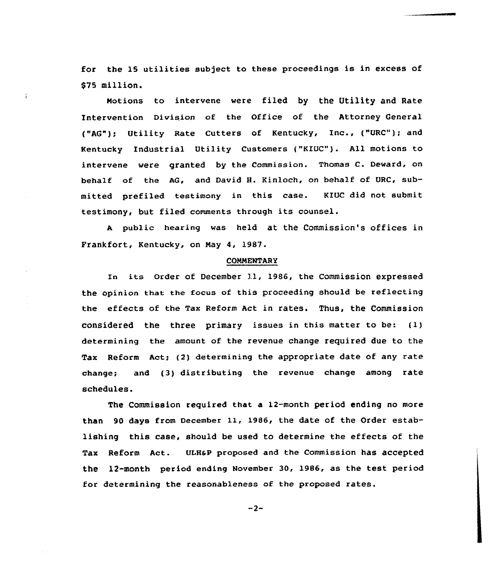for the 15 utilities subject to these proceedings is in excess of \$75 million.

Notions to intervene were filed by the Utility and Rate Intervention Division of the Office of the Attorney General ("AG"); Utility Rate Cutters of Kentucky, Inc., ("URC"); and Kentucky Industrial Utility Customers ("KIUC"). All motions to intervene were granted by the Commission. Thomas C. Deward, on behalf of the AG, and David H. Kinloch, on behalf of URC, submitted prefiled testimony in this case. KIUC did not submit testimony, but filed comments through its counsel.

<sup>A</sup> public hearing was held at the Commission's offices in Frankfort, Kentucky, on Nay 4, 1987.

#### **COMMENTARY**

zn its order of December 11, 1986, the Commission expressed the opinion that the focus of this proceeding should be reflecting the effects of the Tax Reform Act in rates. Thus, the Commission considered the three primary issues in this matter to be: (1) determining the amount of the revenue change required due to the Tax Reform Act; {2) determining the appropriate date of any rate change; and (3) distributing the revenue change among rate schedules.

The Commission required that a 12-month period ending no more than 90 days from December 11, 1986, the date of the Order establishing this case, should be used to determine the effects of the Tax Reform Act. ULH&P proposed and the Commission has accepted the 12-month period ending November 30, 1986, as the test period for determining the reasonableness af the proposed rates.

$$
-2-
$$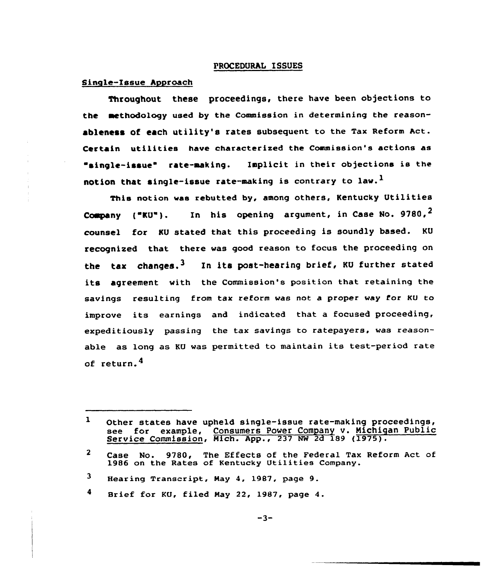### PROCEDURhL ISSUES

## Single-Issue hyproach

Throughout these proceedings, there have been objections to the aethodology used by the Commission in determining the reasonableness of each utility's rates subsequent to the Tax Reform Act. Certain utilities have characterised the Commission's actions as "single-issue" rate-making. Implicit in their objections is the notion that single-issue rate-making is contrary to law.<sup>1</sup>

This notion was rebutted by, among others, Kentucky Utilities Company ("KU"). In his opening argument, in Case No. 9780,  $^2$ counsel for KU stated that this proceeding is soundly based. KU recognised that there was good reason to focus the proceeding on the tax changes.<sup>3</sup> In its post-hearing brief, KU further stated its agreement with the Commission's position that retaining the savings resulting from tax reform was not a proper way for Ku to improve its earnings and indicated that <sup>a</sup> focused proceeding, expeditiously passing the tax savings to ratepayers, was reasonable as long as KU was permitted to maintain its test-period rate of return. $<sup>4</sup>$ </sup>

<sup>1</sup> Other states have upheld single-issue rate-making proceedings, see for example, Consumers Power Company v. Michigan Public Service Commission, Mich. App., 237 NW 2d 189 (1975).

 $2<sup>1</sup>$ Case No. 9780, The Effects of the Federal Tax Reform Act of 1986 on the Rates of Kentucky Utilities Company.

<sup>3</sup> Hearing Transcript, May 4, 1987, page 9.

 $\blacktriangleleft$ Brief for KO, filed May 22, 1987, page 4.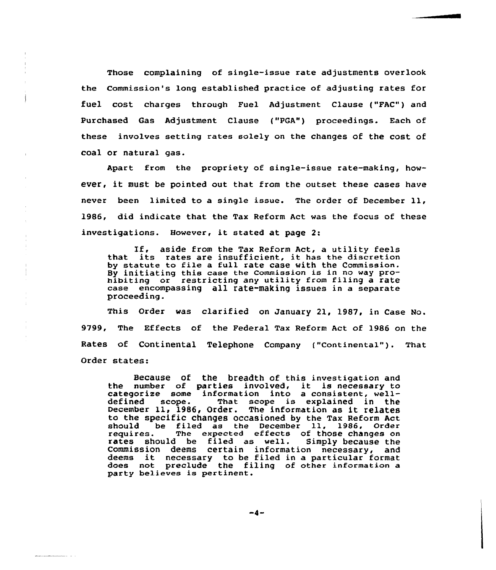Those complaining of single-issue rate adjustments overlook the Commission's long established practice of adjusting rates for fuel cost charges through Fuel Adjustment Clause ("FAC") and Purchased Gas Adjustment Clause ("PGA") proceedings. Each of these involves setting rates solely on the changes of the cost of coal or natural gas.

Apart from the propriety of single-issue rate-making, however, it must be pointed out that from the outset these cases have never been limited to <sup>a</sup> single issue. The order of December ll, 1986, did indicate that the Tax Reform Act was the focus of these investigations. However, it stated at page 2:

If, aside from the Tax Reform Act, a utility feels that its rates are insufficient, it has the discretion by statute to file a full rate case with the Commission. By initiating this case the commission is in no way prohibiting or restricting any utility from filing a rate case encompassing all rate-making issues in a separate proceeding.

This Order was clarified on January 21, 1987, in Case No. 9799, The Effects of the Federal Tax Reform Act of 1986 on the Rates of Continental Telephone Company ("Continental"). That Order states:

Because of the breadth of this investigation and the number of parties involved, it is necessary to categorize some information into a consistent, well-<br>defined scope. That scope is explained in the That scope is explained in the December ll, 1986, Order. The information as it relates to the specific changes occasioned by the Tax Reform Act<br>should be filed as the December 11, 1986, Order should be filed as the December 11, 1986, Order<br>requires. The expected effects of those changes on<br>rates should be filed as well. Simply because the rates should be filed as well. Simply because the<br>Commission deems certain information necessary, and Commission deems certain information necessary, deems it necessary to be filed in <sup>a</sup> particular format does not preclude the filing of other information a party believes is pertinent.

 $-4-$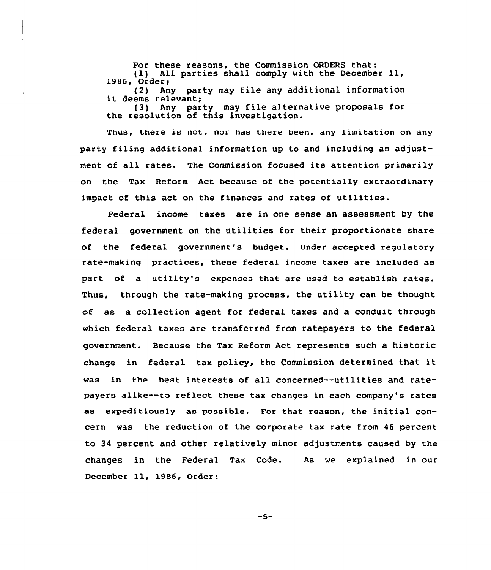For these reasons, the Commission ORDERS that:<br>(1) All parties shall comply with the Decembe All parties shall comply with the December 11, 1986, Order;<br>(2) An (2) Any party may file any additional information<br>it deems relevant;<br>(3) Any party may file alternative proposals for Any party may file alternative proposals for the resolution of this investigation.

Thus, there is not, nor has there been, any limitation on any party filing additional information up to and including an adjustment of all rates. The Commission focused its attention primarily on the Tax Reform Act because of the potentially extraordinary impact of this act on the finances and rates of utilities.

Federal income taxes are in one sense an assessment by the federal government on the utilities for their proportionate share of the federal government's budget. Under accepted regulatory rate-making practices, these federal income taxes are included as part of a utility's expenses that are used to establish rates. Thus, through the rate-making process, the utility can be thought of as a collection agent for federal taxes and a conduit through which federal taxes are transferred from ratepayers to the federal government. Because the Tax Reform Act represents such a historic change in federal tax policy, the Commission determined that it was in the best interests of all concerned--utilities and ratepayers alike--to reflect these tax changes in each company's rates as expeditiously as possible. For that reason, the initial concern was the reduction of the corporate tax rate from 46 percent to 34 percent and other relatively minor adjustments caused by the changes in the Federal Tax Code. As we explained in our December ll, 1986, Order:

 $-5-$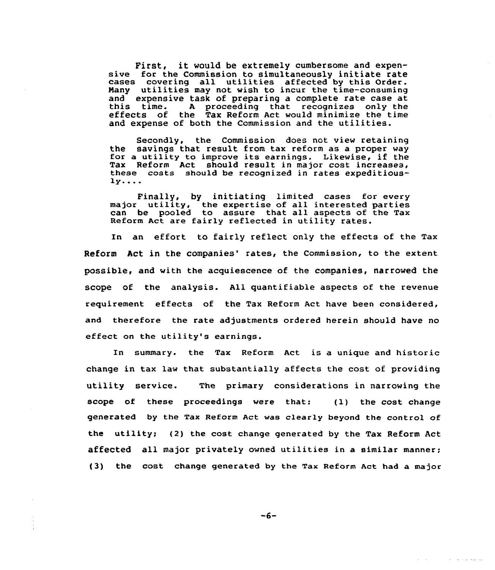First, it would be extremely cumbersome and expensive for the Commission to simultaneously initiate rate cases covering all utilities affected by this Order. Nany utilities may not wish to incur the time-consuming and expensive task of preparing a complete rate case at<br>this time. A proceeding that recognizes only the effects of the Tax Reform Act would minimize the time and expense of both the Commission and the utilities.

Secondly. the Commission does not view retaining the savings that result from tax reform as <sup>a</sup> proper way for <sup>a</sup> utility to improve its earnings. Likewise, if the Tax Reform Act should result in major cost increases, these costs should be recognized in rates expeditious-<br>ly....

Finally, by initiating limited cases for every major utility, the expertise of all interested partie major utfility, the expertise of all interested parties<br>can be pooled to assure that all aspects of the Tax Reform Act are fairly reflected in utility rates.

In an effort to fairly reflect only the effects of the Tax Reform Act in the companies' rates, the Commission, to the extent possible, and with the acquiescence of the companies, narrowed the scope of the analysis. All quantifiable aspects of the revenue requirement effects of the Tax Reform Act have been considered, and therefore the rate adjustments ordered herein should have no effect on the utility's earnings.

In summary. the Tax Reform Act is a unique and historic change in tax law that substantially affects the cost of providing utility service. The primary considerations in narrowing the scope of these proceedings were that: (1) the cost change generated by the Tax Reform Act vas clearly beyond the control of the utility; (2) the cost change generated by the Tax Reform Act affected all major privately owned utilities in a similar manner; (3) the cost. change generated by the Tax Reform Act had a major

 $-6-$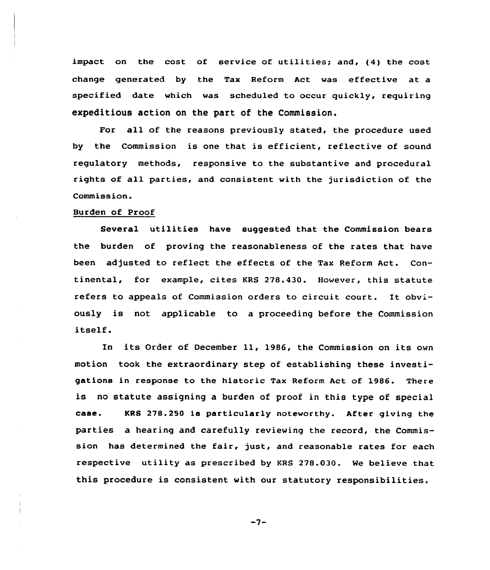impact on the cost of service of utilities; and, (4) the cost change generated by the Tax Reform Act was effective at a specified date which was scheduled to occur quickly, requiring expeditious action on the part of the Commission.

For all of the reasons previously stated, the procedure used by the Commission is one that is efficient, reflective of sound regulatory methods, responsive to the substantive and procedural rights of all parties, and consistent with the jurisdiction of the Commission.

## Burden of Proof

Several utilities have suggested that the Commission bears the burden of proving the reasonableness of the rates that have been adjusted to reflect the effects of the Tax Reform Act. Continental, for example, cites KRS 278.430. However, this statute refers to appeals of Commission orders to circuit court. It obviously is not applicable to a proceeding before the Commission itself.

ln its Order ot December ll, 1986, the Commission on its own motion took the extraordinary step of establishing these investigations in response to the historic Tax Reform Act of 1986. There is no statute assigning a burden of proof in this type of special case. KRS 278.250 is particularly noteworthy. After giving the parties a hearing and carefully reviewing the record, the Commission has determined the fair, just, and reasonable rates for each respective utility as prescribed by KRS 278.030. We believe that this procedure is consistent with our statutory responsibilities.

 $-7-$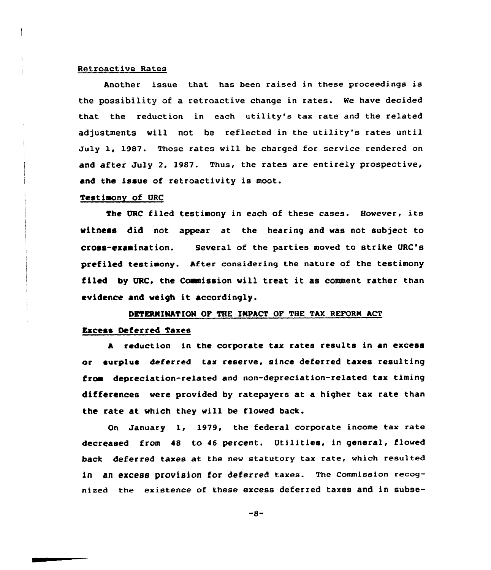## Retroactive Rates

Another issue that has been raised in these proceedings is the possibility of a retroactive change in rates. Ne have decided that the reduction in each utility's tax rate and the related adjustments will not be reflected in the utility's rates until July 1, 1987. Those rates will be charged for service rendered on and after July 2, 1987. Thus, the rates are entirely prospective, and the issue of retroactivity is moot.

#### Testimony of URC

The URC filed testimony in each of these cases. However, its witness did not appear at the hearing and was not subject ta cross-erdainaiion. Several of the parties moved to strike URC's pcefiled testiaony. After considering the nature of the testimony filed by URC, the Commission will treat it as comment rather than evidence and weigh it accordingly.

## DBTERNIMATION OP THE IKPACT OF THE TAX REFORM ACT

## Excess Deferred Taxes

A reduction in the corporate tax rates results in an excess ar surplus deferred tax reserve, since deferred taxes resulting froa depceciatian-related and non-depreciation-related tax timing differences were pravided by ratepayers at a higher tax rate than the rate at which they vill be floved back.

On January 1, 1979, the federal corporate income tax rate decreased from 48 to 46 percent. Utilities, in general, flowed back deferred taxes at the new statutory tax rate, which resulted in an excess provision for deferred taxes. The commission recognized the existence of these excess deferred taxes and in subse-

 $-8-$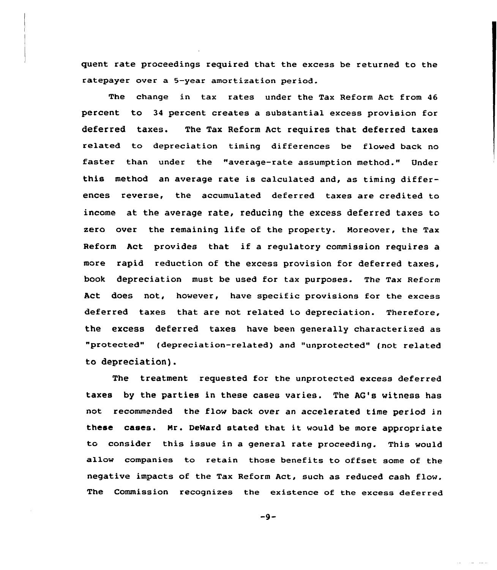quent rate proceedings required that the excess be returned to the ratepayer over a 5-year amortization period.

The change in tax rates under the Tax Reform Act from 46 percent to 34 percent creates a substantial excess provision for deferred taxes. The Tax Reform Act requires that deferred taxes related to depreciation timing differences be flowed back no faster than under the "average-rate assumption method." Under this method an average rate is calculated and, as timing differences reverse, the accumulated deferred taxes are credited to income at the average rate, reducing the excess deferred taxes to zero over the remaining life of the property. Moreover, the Tax Reform Act provides that if <sup>a</sup> regulatory commission requires <sup>a</sup> more rapid reduction of the excess provision for deferred taxes, book depreciation must be used for tax purposes. The Tax Reform Act does not, however, have specific provisions for the excess deferred taxes that are not related to depreciation. Therefore, the excess deferred taxes have been generally characterized as "protected" (depreciation-related) and "unprotected" (not related to depreciation).

The treatment requested for the unprotected excess deferred taxes by the parties in these cases varies. The AG's witness has not recommended the flow back over an accelerated time period in these cases. Mr. DeMard stated that it would be more appropriate to consider this issue in a general rate proceeding. This would allow companies to retain those benefits to offset some of the negative impacts of the Tax Reform Act, such as reduced cash flow. The Commission recognizes the existence of the excess deferred

 $-9-$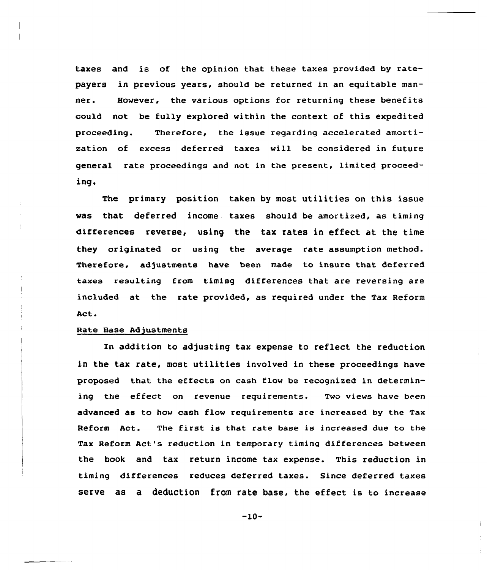taxes and is of the opinion that these taxes provided by ratepayers in previous years, should be returned in an equitable manner. However, the various options for returning these benefits could not be fully explored within the context of this expedited proceeding. Therefore, the issue regarding accelerated amortization of excess deferred taxes will be considered in future general rate proceedings and not in the present, limited proceeding.

The primary position taken by most utilities on this issue was that deferred income taxes should be amortized, as timing differences reverse, using the tax rates in effect at the time they originated or using the average rate assumption method. Therefore, adjustments have been made to insure that deferred taxes resulting from timing differences that are reversing are included at the rate provided, as required under the Tax Reform Act.

## Rate Base Adjustments

In addition to adjusting tax expense to reflect the reduction in the tax rate, most utilities involved in these proceedings have proposed that the effects on cash flow be recognized in determining the effect on revenue requirements. Two views have been advanced as to how cash flow requirements are increased by the Tax Reform Act. The first is that rate base is increased due to the Tax Reform Act's reduction in temporary timing differences between the book and tax return income tax expense. This reduction in timing differences reduces deferred taxes. Since deferred taxes serve as a deduction from rate base, the effect is to increase

-lO-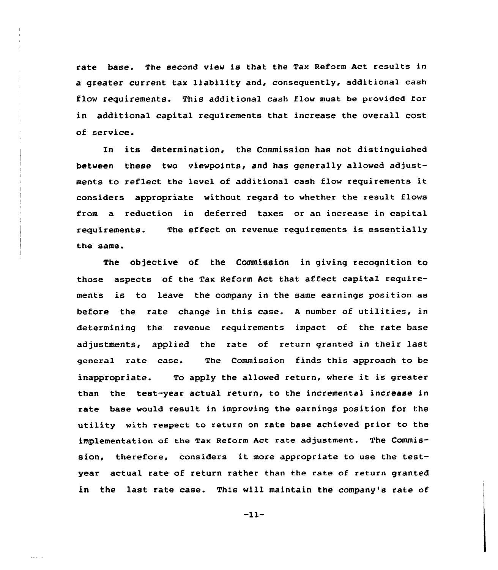rate base. The second view is that the Tax Reform Act results in a greater current tax liability and, consequently, additional cash flow requirements. This additional cash flow must be provided for in additional capital requirements that increase the overall cost of service.

In its determination, the Commission has not distinguished between these two viewpoints, and has generally allowed adjustments to reflect the level of additional cash flow requirements it considers appropriate without regard to whether the result flows from a reduction in deferred taxes or an increase in capital requirements. the same. The effect on revenue requirements is essentially

The objective of the Commission in giving recognition to those aspects of the Tax Reform Act that affect capital requirements is to leave the company in the same earnings position as before the rate change in this case. <sup>A</sup> number of utilities, in determining the revenue requirements impact of the rate base adjustments, applied the rate of return granted in their last general rate case. The Commission finds this approach to be inappropriate. To apply the allowed return, where it is greater than the test-year actual return, to the incremental increase in rate base would result in improving the earnings position for the utility with respect to return on rate base achieved prior to the implementation of the Tax Reform Act rate adjustment. The Commission, therefore, considers it more appropriate to use the testyear actual rate of return rather than the rate of return granted in the last rate case. This will maintain the company's rate of

 $-11-$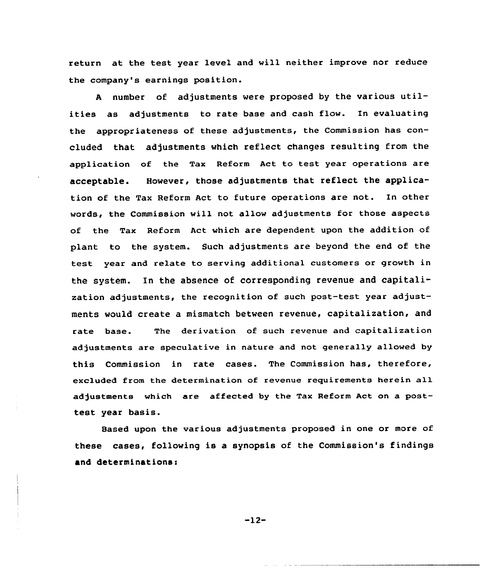return at the test year level and will neither improve nor reduce the company's earnings position.

<sup>A</sup> number of adjustments were proposed by the various utilities as adjustments to rate base and cash flow. In evaluating the appropriateness of these adjustments, the Commission has concluded that adjustments which reflect changes resulting from the application of the Tax Reform Act to test year operations are acceptable. However, those adjustments that reflect the application of the Tax Reform Act to future operations are not. In other words, the Commission will not allow adjustments for those aspects of the Tax Reform Act which are dependent upon the addition of plant to the system. Such adjustments are beyond the end of the test year and relate to serving additional customers or growth in the system. In the absence of corresponding revenue and capitalization adjustments, the recognition of such post-test year adjustments would create a mismatch between revenue, capitalization, and rate base. The derivation of such revenue and capitalization adjustments are speculative in nature and not generally allowed by this Commission in rate cases. The Commission has, therefore, excluded from the determination of revenue requirements herein all adjustments which are affected by the Tax Reform Act on a posttest year basis.

Based upon the various adjustments proposed in one or more of these cases, following is a synopsis of the Commission's findings and determinations:

 $-12-$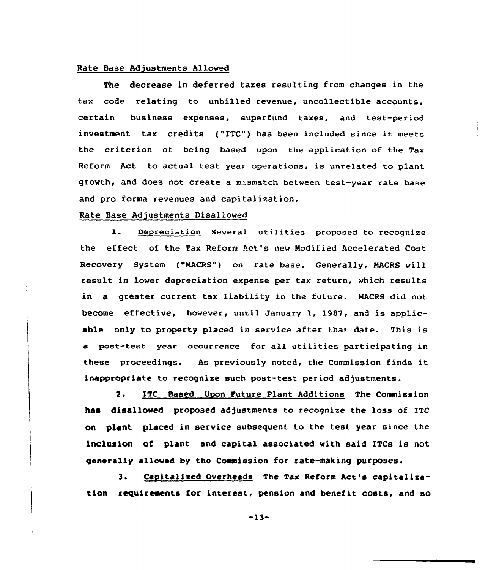# Rate Base Adjustments Allowed

The decrease in deferred taxes resulting from changes in the tax code relating to unbilled revenue, uncollectible accounts, certain business expenses, superfund taxes, and test-period investment tax credits ("ETC"} has been included since it meets the criterion of being based upon the application of the Tax Reform Act to actual test year operations, is unrelated to plant growth, and does not create a mismatch between test-year rate base and pro forma revenues and capitalization.

## Rate Base Adjustments Disallowed

1. Depreciation Several utilities proposed to recognize the effect of the Tax Reform Act's new Modified Accelerated Cost Recovery System ("NACRS") on rate base. Generally, HACRS will result in lower depreciation expense per tax return, which results in a greater current tax liability in the future. MAcRs did not become effective, however, until January 1, 1987, and is applicable only to property placed in service after that date. This is a post-test year occurrence for all utilities participating in these proceedings. As previously noted, the Commission finds it inappropriate to recognize such post-teat period adjustments.

2. ITC Based Upon Future Plant Additions The Commission has disallowed proposed adjustments to recognize the loss of ITC on plant placed in service subsequent to the test year since the inclusion of plant and capital associated with said ITCs is not generally allowed by the Commission for rate-making purposes.

3. Capitalized Overheads The Tax Reform Act's capitalization requirements for interest, pension and benefit costs, and so

-13-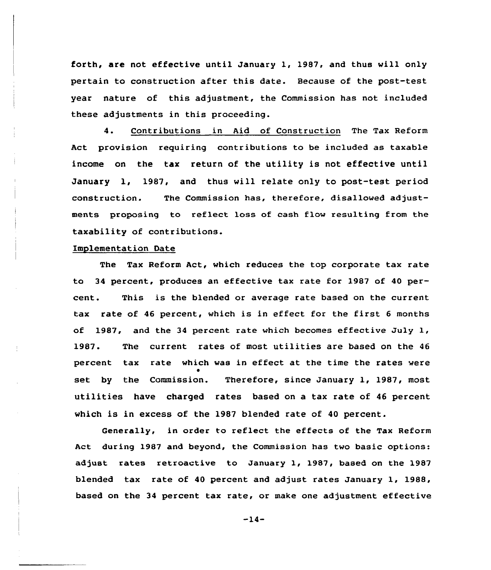forth, are not effective until January 1, 1987, and thus will only pertain to construction after this date. Because of the post-test year nature of this adjustment, the Commission has not included these adjustments in this proceeding.

4. Contributions in Aid of Construction The Tax Reform Act provision requiring contributions to be included as taxable income on the tax return of the utility is not effective until January 1, 1987, and thus will relate only to post-test period construction. The Commission has, therefore, disallowed adjustments proposing to reflect loss of cash flow resulting from the taxability of contributions.

## Implementation Date

The Tax Reform Act, which reduces the top corporate tax rate to 34 percent, produces an effective tax rate for 1987 of 40 percent. This is the blended or average rate based on the current tax rate of <sup>46</sup> percent, which is in effect for the first <sup>6</sup> months of 1987, and the 34 percent rate which becomes effective July 1, 1987. The current rates of most utilities are based on the <sup>46</sup> percent tax rate which was in effect at the time the rates were set by the Commission. Therefore, since January 1, 1987, most utilities have charged rates based on a tax rate of <sup>46</sup> percent which is in excess of the 1987 blended rate of <sup>40</sup> percent.

Generally, in order to reflect the effects of the Tax Reform Act during 1987 and beyond, the Commission has two basic options: adjust rates retroactive to January 1, 1987, based on the 1987 blended tax rate of 40 percent and adjust rates January 1, 1988, based on the 34 percent tax rate, or make one adjustment effective

 $-14-$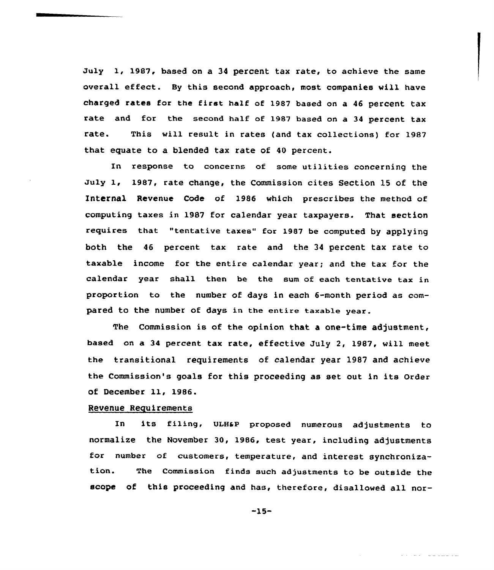July 1, 1987, based on a <sup>34</sup> percent tax rate, to achieve the same overall effect. By this second approach, most companies vill have charged rates for the first half of 1987 based on <sup>a</sup> <sup>46</sup> percent tax rate and for the second half of 1987 based on a 34 percent tax rate. This will result in rates (and tax collections) for 1987 that equate to a blended tax rate of 40 percent.

In response to concerns of some utilities concerning the July 1, 1987, rate change, the Commission cites Section 15 of the Internal Revenue Code of 1986 which prescribes the method of computing taxes in 1987 for calendar year taxpayers. That section requires that "tentative taxes" for 1987 be computed by applying both the 46 percent tax rate and the 34 percent tax rate to taxable income for the entire calendar year; and the tax for the calendar year shall then be the sum of each tentative tax in proportion to the number of days in each 6-month period as compared to the number of days in the entire taxable year.

The Commission is of the opinion that a one-time adjustment, based on a 34 percent tax rate, effective July 2, 1987, will meet the transitional requirements of calendar year 1987 and achieve the Commission's goals for this proceeding as set out in its Order ot December 11, 1986.

### Revenue Requirements

In its filing, ULHaP proposed numerous adjustments to normalize the November 30, 1986, test year, including adjustments for number of customers, temperature, and interest synchronization. The Commission finds such adjustments to be outside the scope of this proceeding and has, therefore, disallowed all nor-

-15-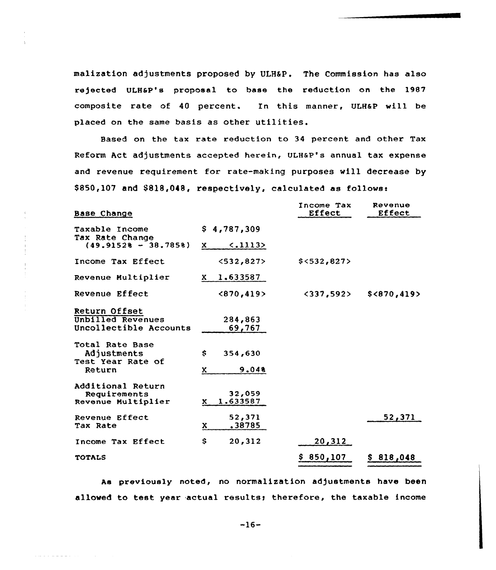malization adjustments proposed by ULHSP. The Commissicn has also rejected ULH&P's proposal to base the reduction on the 1987 composite rate of 40 percent. In this manner, ULHaP will be placed on the same basis as other utilities.

Based on the tax rate reduction to 34 percent and other Tax Reform Act adjustments accepted herein, ULH&P's annual tax expense and revenue requirement for rate-making purposes will decrease by \$850,107 and \$818,048, respectively, calculated as follows:

| Base Change                               |                               | Income Tax<br>Effect       | Revenue<br>Effect |
|-------------------------------------------|-------------------------------|----------------------------|-------------------|
| Taxable Income                            | \$4,787,309                   |                            |                   |
| Tax Rate Change<br>$(49.91528 - 38.7858)$ | $\langle .1113 \rangle$<br>X. |                            |                   |
| Income Tax Effect                         | <532,827>                     | \$<532,827>                |                   |
| Revenue Multiplier                        | $X = 1.633587$                |                            |                   |
| Revenue Effect                            | <870,419>                     | $\langle 337, 592 \rangle$ | \$<870,419>       |
| Return Offset                             |                               |                            |                   |
| Unbilled Revenues                         | 284,863                       |                            |                   |
| Uncollectible Accounts                    | 69,767                        |                            |                   |
| Total Rate Base                           |                               |                            |                   |
| Adjustments<br>Test Year Rate of          | \$.<br>354,630                |                            |                   |
| Return                                    | 9.048<br>x.                   |                            |                   |
| Additional Return                         |                               |                            |                   |
| Requirements<br>Revenue Multiplier        | 32,059<br>1.633587<br>x.      |                            |                   |
| Revenue Effect                            | 52,371                        |                            | 52,371            |
| Tax Rate                                  | .38785<br>x                   |                            |                   |
| Income Tax Effect                         | \$<br>20,312                  | 20,312                     |                   |
| <b>TOTALS</b>                             |                               | \$850,107                  | \$818,048         |

As previously noted, no normalization adjustments have been allowed to test year actual results; therefore, the taxable income

 $-16-$ 

المحافظ فالمحافظ والمحافظة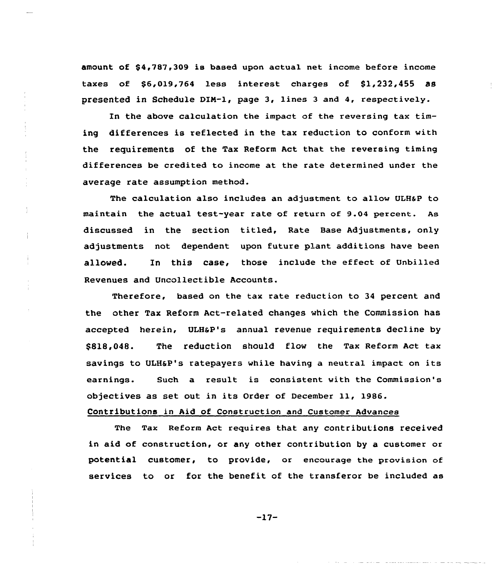amount of \$4,787,309 is based upon actual net income before income taxes of \$6,019,764 less interest charges of \$1,232,455 as presented in Schedule DIN-l, page 3, lines 3 and 4, respectively.

In the above calculation the impact of the reversing tax timing differences is reflected in the tax reduction to conform with the requirements of the Tax Reform Act that the reversing timing differences be credited to income at the rate determined under the average rate assumption method.

The calculation also includes an adjustment to allow ULHaP to maintain the actual test-year rate of return of 9.04 percent. As discussed in the section titled, Rate Base Adjustments, only adjustments not dependent upon future plant additions have been allowed. In this case, those include the effect of Unbilled Revenues and Uncollectible Accounts.

Therefore, based on the tax rate reduction to 34 percent and the other Tax Reform Act-related changes which the Commission has accepted herein, ULHaP's annual revenue requirements decline by \$818,048. The reduction should flow the Tax Reform Act tax savings to ULH6P's ratepayers while having a neutral impact on its earnings. Such a result is consistent with the Commission's objectives as set out in its Order of December 11, 1986.

## Contributions in Aid of Construction and Customer Advances

The Tax Reform Act requires that any contributions received in aid of construction, or any other contribution by a customer or potential customer, to provide, or encourage the provision of services to or for the benefit of the transferor be included as

 $-17-$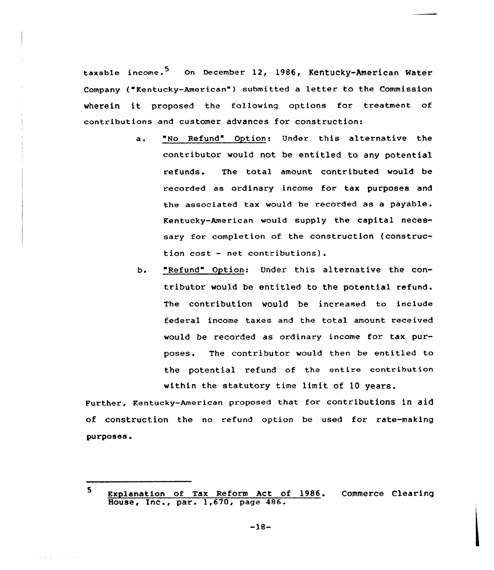taxable income.<sup>5</sup> On December 12, 1986, Kentucky-American Water Company ("Kentucky-American" ) submitted <sup>a</sup> letter to the Commission wherein it proposed the following options for treatment of contributions and customer advances for construction:

- a. "No Refund" Option: Under this alternative the contributor would not be entitled to any potential refunds. The total amount contributed would be recorded as ordinary income for tax purposes and the associated tax would be recorded as a payable. Kentucky-American would supply the capital necessary for completion of the construction {construction cost — net contributions}.
- b. "Refund" Option: Under this alternative the contributor would be entitled to the potential refund. The contribution would be increased to include federal income taxes and the total amount received would be recorded as ordinary income for tax purposes. The contributor would then be entitled to the potential refund of the entire contribution within the statutory time limit of 10 years.

Further, Kentucky-American proposed that for contributions in aid of construction the no refund option be used for rate-making purposes.

<sup>5</sup> Explanation of Tax Reform Act of 1986. Commerce Clearin House, Inc., par. 1,670, page 486.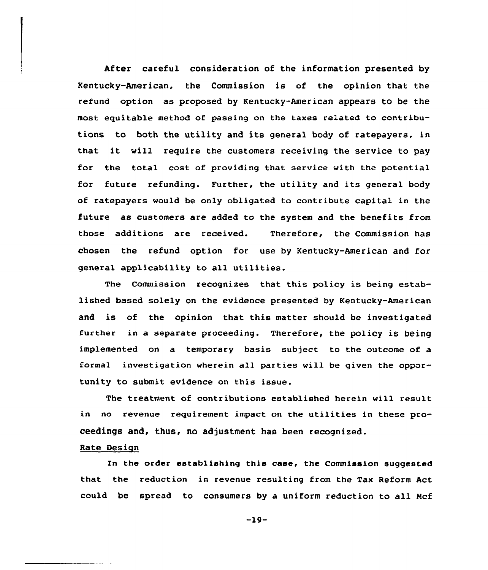After careful consideration of the information presented by Kentucky-American, the Commission is of the opinion that the refund option as proposed by Kentucky-American appears to be the most equitable method of passing on the taxes related to contributions to both the utility and its general body of ratepayers, in that it will require the customers receiving the service to pay for the total cost of providing that service with the potential for future refunding. Further, the utility and its general body of ratepayers would be only obligated to contribute capital in the future as customers are added to the system and the benefits from those additions are received. Therefore, the Commission has chosen the refund option for use by Kentucky-American and for general applicability to all utilities.

The Commission recognizes that this policy is being established based solely on the evidence presented by Kentucky-American and is of the opinion that this matter should be investigated further in a separate proceeding. Therefore, the policy is being implemented on a temporary basis subject to the outcome of a formal investigation wherein all parties will be given the opportunity to submit evidence on this issue.

The treatment of contributions established herein will result in no revenue requirement impact on the utilities in these proceedings and, thus, no adjustment has been recognized.

# Rate Design

In the order establishing this case, the Commission suggested that the reduction in revenue resulting from the Tax Reform Act could be spread to consumers by a uniform reduction to all Ncf

 $-19-$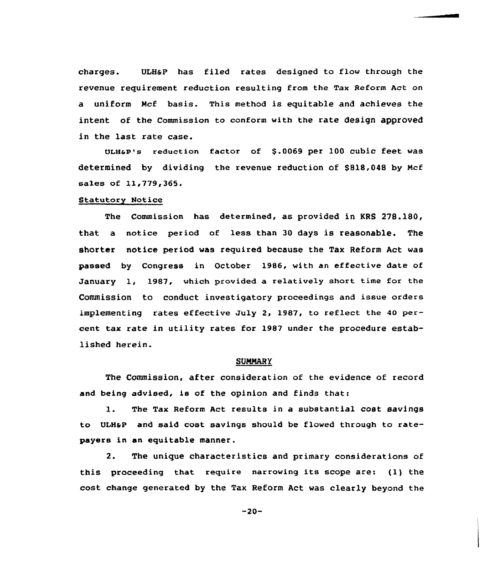charges. ULH&P has filed rates designed to flow through the revenue requirement reduction resulting from the Tax Reform Act on a uniform Mcf basis. This method is equitable and achieves the intent of the Commission to conform with the rate design approved in the last rate case.

ULH&P's reduction factor of \$.0069 per 100 cubic feet was determined by dividing the revenue reduction of \$818,048 by Ncf sales of 11,779,365.

#### Statutory Notice

The Commission has determined, as provided in KRS 278.180, that a notice period of less than 30 days is reasonable. The shorter notice period was required because the Tax Reform Act was passed by Congress in October 1986, with an effective date of January 1, 1987, which provided a relatively short time for the Commission to conduct investigatory proceedings and issue orders implementing rates effective July 2, 1987, to reflect the 40 percent tax rate in utility rates for 1987 under the procedure established herein.

#### SUMMARY

The Commission, after consideration of the evidence of record and being advised, is of the opinion and finds that:

1. The Tax Reform Act results in <sup>a</sup> substantial cost savings to ULHsP and said cost savings should be flowed through to ratepayers in an equitable manner.

2. The unique characteristics and primary considerations of this proceeding that require narrowing its scope are: (1) the cost change generated by the Tax Reform Act was clearly beyond the

 $-20-$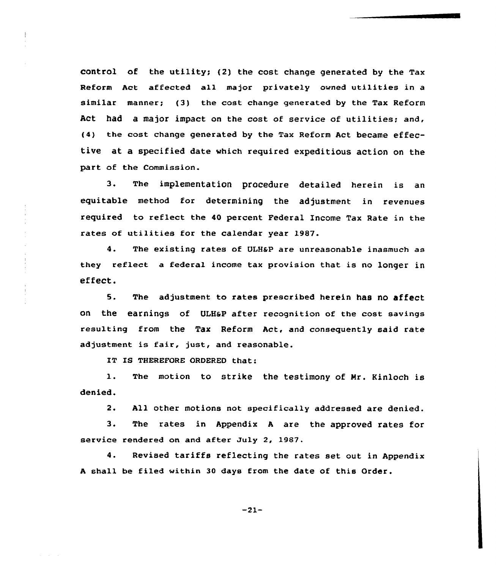control of the utility; (2) the cost change generated by the Tax Reform Act affected all major privately owned utilities in <sup>a</sup> similar manner; (3) the cost change generated hy the Tax Reform Act had a major impact on the cost of service of utilities; and, (4) the cost change generated by the Tax Reform Act became effective at a specified date which required expeditious action on the part of the Commission.

3. The implementation procedure detailed herein is an equitable method for determining the adjustment in revenues required to reflect the 40 percent Federal Income Tax Rate in the rates of utilities for the calendar year 1987.

4. The existing rates of ULH&P are unreasonable inasmuch as they reflect a federal income tax provision that is no longer in effect.

5. The adjustment to rates prescribed herein has no affect on the earnings of UIHaP after recognition of the cost savings resulting from the Tax Reform Act, and consequently said rate adjustment is fair, just, and reasonable.

IT IS THEREFORE ORDERED that:

 $\mathbf{1}$ . The motion to strike the testimony of Mr. Kinloch is denied.

 $2.$ All other motions not specifically addressed are denied.

3. The rates in Appendix <sup>A</sup> are the approved rates for service rendered on and after duly 2, 1987.

4. Revised tariffs reflecting the rates set out in Appendix <sup>A</sup> shall be filed within 30 days from the date of this Order.

-21-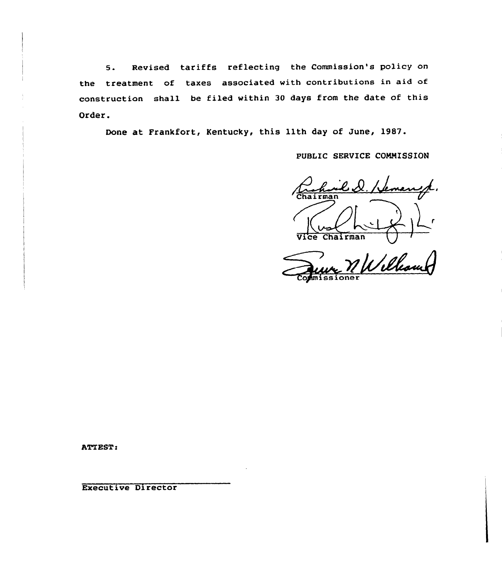5. Revised tariffs reflecting the Commission's policy on the treatment of taxes associated with contributions in aid of construction shall be filed within 30 days from the date of this Order.

Done at Frankfort, Kentucky, this 11th day of June, 1987.

PUBLIC SERVICE COMMISSION

Chairman

Ulleau

**ATTEST:** 

Executive Director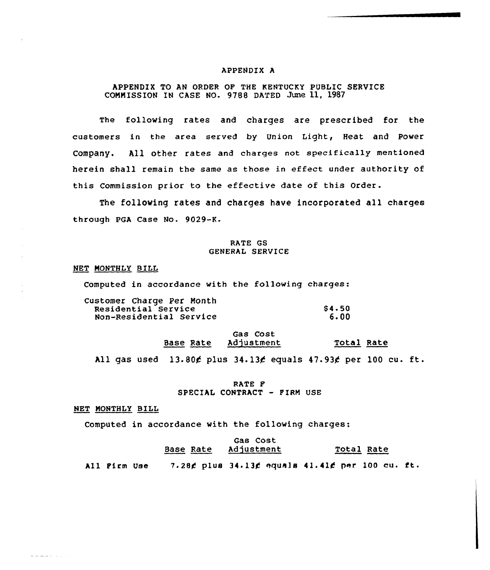#### APPENDIX A

## APPENDIX TO AN ORDER OF THE KENTUCKY PUBLIC SERVICE COMMISSION IN CASE NO. 9788 DATED June 11, 1987

The following rates and charges are prescribed for the customers in the area served by Union Light, Heat and Power Company. All other rates and charges not specifically mentioned herein shall remain the same as those in effect under authority of this Commission prior to the effective date of this Order.

The following rates and charges have incorporated all charges through PGA Case No. 9029-K.

## RATE GS GENERAL SERVlCE

### NET MONTHLY BILL

Computed in accordance with the following charges:

| Customer Charge Per Month |              |
|---------------------------|--------------|
| Residential Service       | <b>S4.50</b> |
| Non-Residential Service   | 6.00         |

# Gas Cost Base Rate Adjustment Total Rate

All gas used  $13.80$  $6$  plus  $34.136$  equals  $47.936$  per 100 cu. ft.

## RATE F SPECIAL CONTRACT - FIRM USE

NET MONTHLY BILL

 $\frac{1}{2} \frac{1}{2} \frac{1}{2} \frac{1}{2} \frac{1}{2} \frac{1}{2} \frac{1}{2} \frac{1}{2} \frac{1}{2} \frac{1}{2} \frac{1}{2} \frac{1}{2} \frac{1}{2} \frac{1}{2} \frac{1}{2} \frac{1}{2} \frac{1}{2} \frac{1}{2} \frac{1}{2} \frac{1}{2} \frac{1}{2} \frac{1}{2} \frac{1}{2} \frac{1}{2} \frac{1}{2} \frac{1}{2} \frac{1}{2} \frac{1}{2} \frac{1}{2} \frac{1}{2} \frac{1}{2} \frac{$ 

Computed in accordance with the following charges:

# Gas Cost Base Rate Adjustment Total Rate

All Pirm Use  $-7.28$  $\cancel{t}$  plus 34.13 $\cancel{t}$  equals 41.41 $\cancel{t}$  per 100 cu. ft.